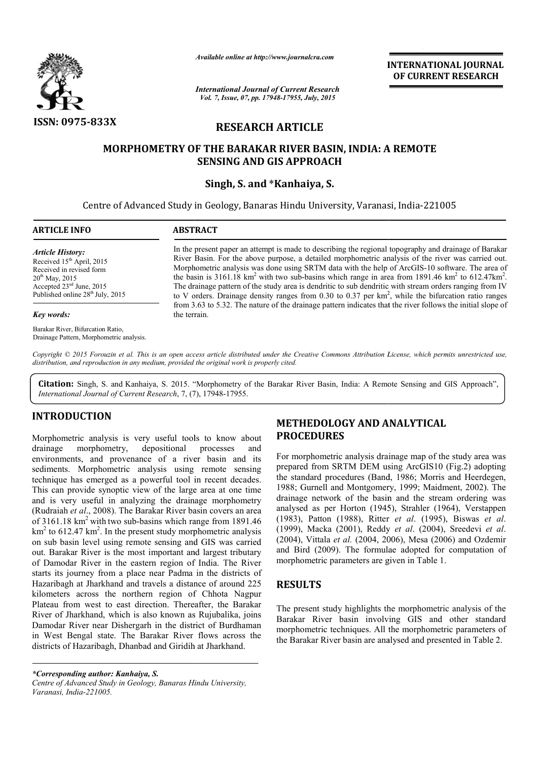

*Available online at http://www.journalcra.com*

*International Journal of Current Research Vol. 7, Issue, 07, pp. 17948-17955, July, 2015*

**INTERNATIONAL INTERNATIONAL JOURNAL OF CURRENT RESEARCH** 

# **RESEARCH ARTICLE**

# **MORPHOMETRY OF THE BARAKAR RIVER BASIN, INDIA: A REMOTE INDIA: A SENSING AND GIS APPROACH**

# **Singh, S. and** \***Kanhaiya, S.**

Centre of Advanced Study in Geology, Banaras Hindu University, Varanasi, India-221005  $\overline{a}$ 

| <b>ARTICLE INFO</b> |  |
|---------------------|--|
|---------------------|--|

#### **ABSTRACT**

*Article History:* Received 15<sup>th</sup> April, 2015 Received in revised form  $20^{th}$  May, 2015 Accepted 23ed June, 2015 Published online 28<sup>th</sup> July, 2015

#### *Key words:*

Barakar River, Bifurcation Ratio, Drainage Pattern, Morphometric analysis.

In the present paper an attempt is made to describing the regional topography and drainage of Barakar River Basin. For the above purpose, a detailed morphometric analysis of the river was carried out. River Basin. For the above purpose, a detailed morphometric analysis of the river was carried out.<br>Morphometric analysis was done using SRTM data with the help of ArcGIS-10 software. The area of the basin is 3161.18 km<sup>2</sup> with two sub-basins which range in area from 1891.46 km<sup>2</sup> to 612.47km<sup>2</sup>. The drainage pattern of the study area is dendritic to sub dendritic with stream orders ranging from IV The drainage pattern of the study area is dendritic to sub dendritic with stream orders ranging from IV to V orders. Drainage density ranges from 0.30 to 0.37 per  $km^2$ , while the bifurcation ratio ranges from 3.63 to 5.32. The nature of the drainage pattern indicates that the river follows the initial slope of the terrain.

Copyright © 2015 Forouzin et al. This is an open access article distributed under the Creative Commons Attribution License, which permits unrestricted use, *distribution, and reproduction in any medium, provided the original work is properly cited.*

Citation: Singh, S. and Kanhaiya, S. 2015. "Morphometry of the Barakar River Basin, India: A Remote Sensing and GIS Approach", *International Journal of Current Research*, 7, (7), 17948-17955.

# **INTRODUCTION**

Morphometric analysis is very useful tools to know about drainage morphometry, depositional processes and environments, and provenance of a river basin and its Morphometric analysis is very useful tools to know about drainage morphometry, depositional processes and environments, and provenance of a river basin and its sediments. Morphometric analysis using remote sensing technique has emerged as a powerful tool in recent decades. This can provide synoptic view of the large area at one time and is very useful in analyzing the drainage morphometry (Rudraiah *et al*., 2008). The Barakar River basin covers an area of 3161.18 km2 with two sub-basins which range from 1891.46  $\text{km}^2$  to 612.47 km<sup>2</sup>. In the present study morphometric analysis on sub basin level using remote sensing and GIS was carried out. Barakar River is the most important and largest tributary of Damodar River in the eastern region of India. The River starts its journey from a place near Padma in the districts of Hazaribagh at Jharkhand and travels a distance of around 225 kilometers across the northern region of Chhota Nagpur Plateau from west to east direction. Thereafter, the Barakar River of Jharkhand, which is also known as Rujubalika, joins Damodar River near Dishergarh in the district of Burdhaman in West Bengal state. The Barakar River flows across the districts of Hazaribagh, Dhanbad and Giridih at Jharkhand. basins which range from 1891.46<br>sent study morphometric analysis<br>ote sensing and GIS was carried<br>st important and largest tributary<br>stern region of India. The River<br>ce near Padma in the districts of<br>travels a distance of a **METHEDOLOGY AND ANALYTICAL**<br>
fuil tools to know about<br> **PROCEDURES**<br>
tional processes and<br>
<sup>2</sup> a river basin and its<br>
<sup>1</sup> sumg remote sensing<br>
prepared from SRTM DEM using ArcGIS10<br>
(and it colid in recent decades. the st

*\*Corresponding author: Kanhaiya, S. Centre of Advanced Study in Geology, Banaras Hindu University, Varanasi, India-221005.*

# **PROCEDURES**

For morphometric analysis drainage map of the study area was prepared from SRTM DEM using ArcGIS10 (Fig.2) adopting the standard procedures (Band, 1986; Morris and Heerdegen, 1988; Gurnell and Montgomery, 1999; Maidment, 2002). The drainage network of the basin and the stream ordering was analysed as per Horton (1945), Strahler (1964), Verstappen (1983), Patton (1988), Ritter et al. (1995), Biswas et al. (1999), Macka (2001), Reddy Reddy *et al*. (2004), Sreedevi *et al*. (2004), Vittala *et al.* (2004, 2006), Mesa (2006) and Ozdemir and Bird (2009). The formulae adopted for computation of morphometric parameters are given in Table 1. For morphometric analysis drainage map of the study area was prepared from SRTM DEM using ArcGIS10 (Fig.2) adopting the standard procedures (Band, 1986; Morris and Heerdegen, 1988; Gurnell and Montgomery, 1999; Maidment, 2

# **RESULTS**

The present study highlights the morphometric analysis of the Barakar River basin involving GIS and other standard morphometric techniques. All the morphometric parameters of the Barakar River basin are analysed and presented in Table 2.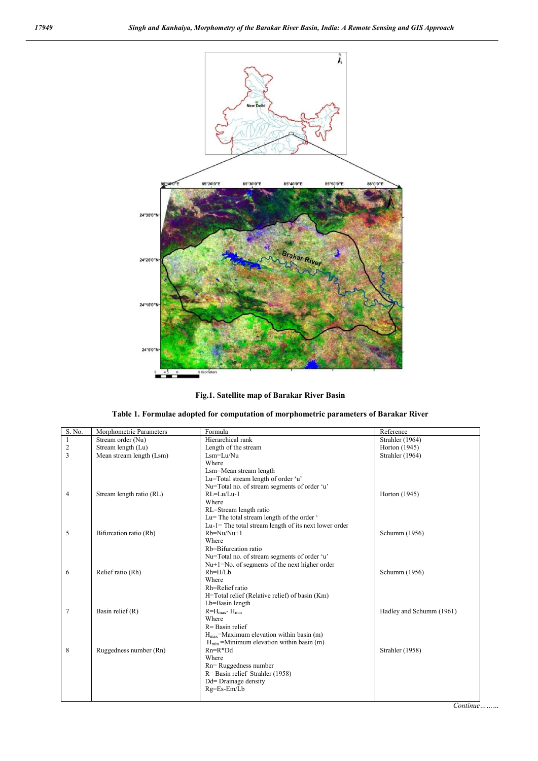





| S. No.         | Morphometric Parameters  | Formula                                                | Reference                |
|----------------|--------------------------|--------------------------------------------------------|--------------------------|
|                | Stream order (Nu)        | Hierarchical rank                                      | Strahler (1964)          |
| $\overline{c}$ | Stream length (Lu)       | Length of the stream                                   | Horton (1945)            |
| $\overline{3}$ | Mean stream length (Lsm) | $I \, \text{sm} = I \, \text{u} / \text{Nu}$           | Strahler (1964)          |
|                |                          | Where                                                  |                          |
|                |                          | Lsm=Mean stream length                                 |                          |
|                |                          | Lu=Total stream length of order 'u'                    |                          |
|                |                          | Nu=Total no. of stream segments of order 'u'           |                          |
| $\overline{4}$ | Stream length ratio (RL) | $RI = Lu/Lu-1$                                         | Horton (1945)            |
|                |                          | Where                                                  |                          |
|                |                          | RL=Stream length ratio                                 |                          |
|                |                          | Lu= The total stream length of the order '             |                          |
|                |                          | $Lu-l$ The total stream length of its next lower order |                          |
| 5              | Bifurcation ratio (Rb)   | $Rb=Nu/Nu+1$                                           | Schumm (1956)            |
|                |                          | Where                                                  |                          |
|                |                          | Rb=Bifurcation ratio                                   |                          |
|                |                          | Nu=Total no. of stream segments of order 'u'           |                          |
|                |                          | $Nu+1=No$ . of segments of the next higher order       |                          |
| 6              | Relief ratio (Rh)        | $Rh=H/Lb$                                              | Schumm (1956)            |
|                |                          | Where                                                  |                          |
|                |                          | Rh=Relief ratio                                        |                          |
|                |                          | H=Total relief (Relative relief) of basin (Km)         |                          |
|                |                          | Lb=Basin length                                        |                          |
| $\overline{7}$ | Basin relief $(R)$       | $R = H_{\text{max}} - H_{\text{min}}$                  | Hadley and Schumm (1961) |
|                |                          | Where                                                  |                          |
|                |                          | $R =$ Basin relief                                     |                          |
|                |                          | $H_{\text{max}}$ =Maximum elevation within basin (m)   |                          |
|                |                          | $H_{min}$ =Minimum elevation within basin (m)          |                          |
| 8              | Ruggedness number (Rn)   | $Rn=R*Dd$                                              | Strahler (1958)          |
|                |                          | Where                                                  |                          |
|                |                          | Rn=Ruggedness number                                   |                          |
|                |                          | $R =$ Basin relief Strahler (1958)                     |                          |
|                |                          | Dd= Drainage density                                   |                          |
|                |                          | Rg=Es-Em/Lb                                            |                          |

*Continue………*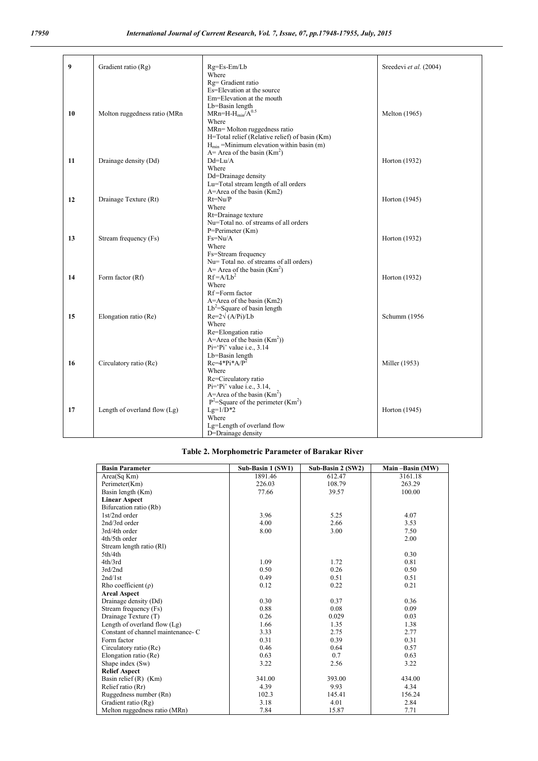| 9  | Gradient ratio (Rg)            | Rg=Es-Em/Lb                                       | Sreedevi et al. (2004) |
|----|--------------------------------|---------------------------------------------------|------------------------|
|    |                                | Where                                             |                        |
|    |                                | Rg= Gradient ratio                                |                        |
|    |                                | Es=Elevation at the source                        |                        |
|    |                                | Em=Elevation at the mouth                         |                        |
|    |                                | Lb=Basin length                                   |                        |
| 10 | Molton ruggedness ratio (MRn   | $MRn=H-H_{min}/A^{0.5}$                           | Melton (1965)          |
|    |                                | Where                                             |                        |
|    |                                | MRn=Molton ruggedness ratio                       |                        |
|    |                                | H=Total relief (Relative relief) of basin (Km)    |                        |
|    |                                | $H_{min}$ =Minimum elevation within basin (m)     |                        |
|    |                                | A = Area of the basin $(Km2)$                     |                        |
| 11 | Drainage density (Dd)          | $Dd=Lu/A$                                         | Horton (1932)          |
|    |                                | Where                                             |                        |
|    |                                | Dd=Drainage density                               |                        |
|    |                                | Lu=Total stream length of all orders              |                        |
|    |                                | A=Area of the basin (Km2)                         |                        |
| 12 | Drainage Texture (Rt)          | $Rt=Nu/P$                                         | Horton (1945)          |
|    |                                | Where                                             |                        |
|    |                                | Rt=Drainage texture                               |                        |
|    |                                | Nu=Total no. of streams of all orders             |                        |
|    |                                | P=Perimeter (Km)                                  |                        |
| 13 | Stream frequency (Fs)          | $Fs=Nu/A$                                         | Horton (1932)          |
|    |                                | Where                                             |                        |
|    |                                | Fs=Stream frequency                               |                        |
|    |                                | Nu= Total no. of streams of all orders)           |                        |
|    |                                | A = Area of the basin $(Km2)$<br>$Rf = A/Lb^2$    |                        |
| 14 | Form factor (Rf)               |                                                   | Horton (1932)          |
|    |                                | Where<br>Rf=Form factor                           |                        |
|    |                                | A=Area of the basin (Km2)                         |                        |
|    |                                | $Lb^2$ =Square of basin length                    |                        |
| 15 | Elongation ratio (Re)          | $Re=2\sqrt{(A/Pi)/Lb}$                            | Schumm (1956)          |
|    |                                | Where                                             |                        |
|    |                                | Re=Elongation ratio                               |                        |
|    |                                | A=Area of the basin $(Km2)$ )                     |                        |
|    |                                | $Pi="Pi" value i.e., 3.14$                        |                        |
|    |                                | Lb=Basin length                                   |                        |
| 16 | Circulatory ratio (Rc)         | $Rc=4*Pi*AP^2$                                    | Miller (1953)          |
|    |                                | Where                                             |                        |
|    |                                | Rc=Circulatory ratio                              |                        |
|    |                                | $Pi='Pi'$ value i.e., 3.14,                       |                        |
|    |                                | A=Area of the basin $(Km2)$                       |                        |
|    |                                | $P^2$ =Square of the perimeter (Km <sup>2</sup> ) |                        |
| 17 | Length of overland flow $(Lg)$ | $Lg=1/D*2$                                        | Horton (1945)          |
|    |                                | Where                                             |                        |
|    |                                | Lg=Length of overland flow                        |                        |
|    |                                | D=Drainage density                                |                        |

## **Table 2. Morphometric Parameter of Barakar River**

| <b>Basin Parameter</b>             | Sub-Basin 1 (SW1) | Sub-Basin 2 (SW2) | Main-Basin (MW) |
|------------------------------------|-------------------|-------------------|-----------------|
| Area(Sq Km)                        | 1891.46           | 612.47            | 3161.18         |
| Perimeter(Km)                      | 226.03            | 108.79            | 263.29          |
| Basin length (Km)                  | 77.66             | 39.57             | 100.00          |
| <b>Linear Aspect</b>               |                   |                   |                 |
| Bifurcation ratio (Rb)             |                   |                   |                 |
| 1st/2nd order                      | 3.96              | 5.25              | 4.07            |
| 2nd/3rd order                      | 4.00              | 2.66              | 3.53            |
| 3rd/4th order                      | 8.00              | 3.00              | 7.50            |
| 4th/5th order                      |                   |                   | 2.00            |
| Stream length ratio (RI)           |                   |                   |                 |
| 5th/4th                            |                   |                   | 0.30            |
| 4th/3rd                            | 1.09              | 1.72              | 0.81            |
| 3rd/2nd                            | 0.50              | 0.26              | 0.50            |
| 2nd/1st                            | 0.49              | 0.51              | 0.51            |
| Rho coefficient $(\rho)$           | 0.12              | 0.22              | 0.21            |
| <b>Areal Aspect</b>                |                   |                   |                 |
| Drainage density (Dd)              | 0.30              | 0.37              | 0.36            |
| Stream frequency (Fs)              | 0.88              | 0.08              | 0.09            |
| Drainage Texture (T)               | 0.26              | 0.029             | 0.03            |
| Length of overland flow (Lg)       | 1.66              | 1.35              | 1.38            |
| Constant of channel maintenance- C | 3.33              | 2.75              | 2.77            |
| Form factor                        | 0.31              | 0.39              | 0.31            |
| Circulatory ratio (Rc)             | 0.46              | 0.64              | 0.57            |
| Elongation ratio (Re)              | 0.63              | 0.7               | 0.63            |
| Shape index (Sw)                   | 3.22              | 2.56              | 3.22            |
| <b>Relief Aspect</b>               |                   |                   |                 |
| Basin relief $(R)$ (Km)            | 341.00            | 393.00            | 434.00          |
| Relief ratio (Rr)                  | 4.39              | 9.93              | 4.34            |
| Ruggedness number (Rn)             | 102.3             | 145.41            | 156.24          |
| Gradient ratio (Rg)                | 3.18              | 4.01              | 2.84            |
| Melton ruggedness ratio (MRn)      | 7.84              | 15.87             | 7.71            |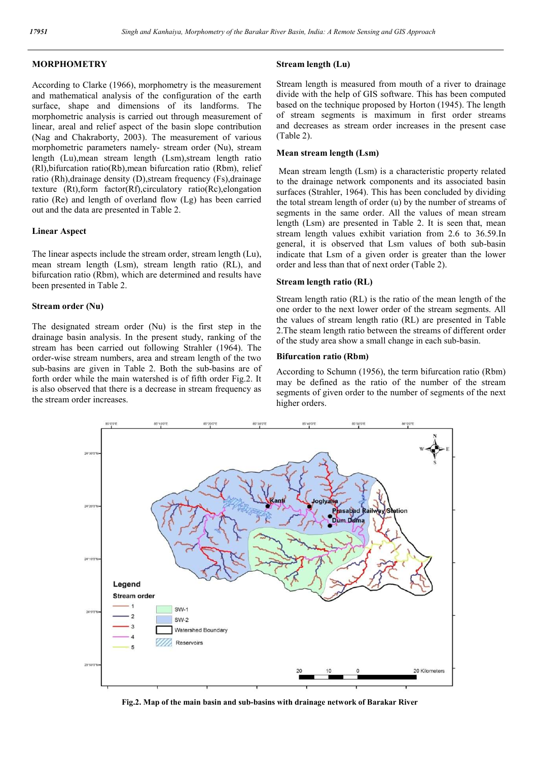## **MORPHOMETRY**

According to Clarke (1966), morphometry is the measurement and mathematical analysis of the configuration of the earth surface, shape and dimensions of its landforms. The morphometric analysis is carried out through measurement of linear, areal and relief aspect of the basin slope contribution (Nag and Chakraborty, 2003). The measurement of various morphometric parameters namely- stream order (Nu), stream length (Lu),mean stream length (Lsm),stream length ratio (Rl),bifurcation ratio(Rb),mean bifurcation ratio (Rbm), relief ratio (Rh),drainage density (D),stream frequency (Fs),drainage texture (Rt),form factor(Rf),circulatory ratio(Rc),elongation ratio (Re) and length of overland flow (Lg) has been carried out and the data are presented in Table 2.

## **Linear Aspect**

The linear aspects include the stream order, stream length (Lu), mean stream length (Lsm), stream length ratio (RL), and bifurcation ratio (Rbm), which are determined and results have been presented in Table 2.

#### **Stream order (Nu)**

The designated stream order (Nu) is the first step in the drainage basin analysis. In the present study, ranking of the stream has been carried out following Strahler (1964). The order-wise stream numbers, area and stream length of the two sub-basins are given in Table 2. Both the sub-basins are of forth order while the main watershed is of fifth order Fig.2. It is also observed that there is a decrease in stream frequency as the stream order increases.

## **Stream length (Lu)**

Stream length is measured from mouth of a river to drainage divide with the help of GIS software. This has been computed based on the technique proposed by Horton (1945). The length of stream segments is maximum in first order streams and decreases as stream order increases in the present case (Table 2).

## **Mean stream length (Lsm)**

Mean stream length (Lsm) is a characteristic property related to the drainage network components and its associated basin surfaces (Strahler, 1964). This has been concluded by dividing the total stream length of order (u) by the number of streams of segments in the same order. All the values of mean stream length (Lsm) are presented in Table 2. It is seen that, mean stream length values exhibit variation from 2.6 to 36.59.In general, it is observed that Lsm values of both sub-basin indicate that Lsm of a given order is greater than the lower order and less than that of next order (Table 2).

#### **Stream length ratio (RL)**

Stream length ratio (RL) is the ratio of the mean length of the one order to the next lower order of the stream segments. All the values of stream length ratio (RL) are presented in Table 2.The steam length ratio between the streams of different order of the study area show a small change in each sub-basin.

#### **Bifurcation ratio (Rbm)**

According to Schumn (1956), the term bifurcation ratio (Rbm) may be defined as the ratio of the number of the stream segments of given order to the number of segments of the next higher orders.



**Fig.2. Map of the main basin and sub-basins with drainage network of Barakar River**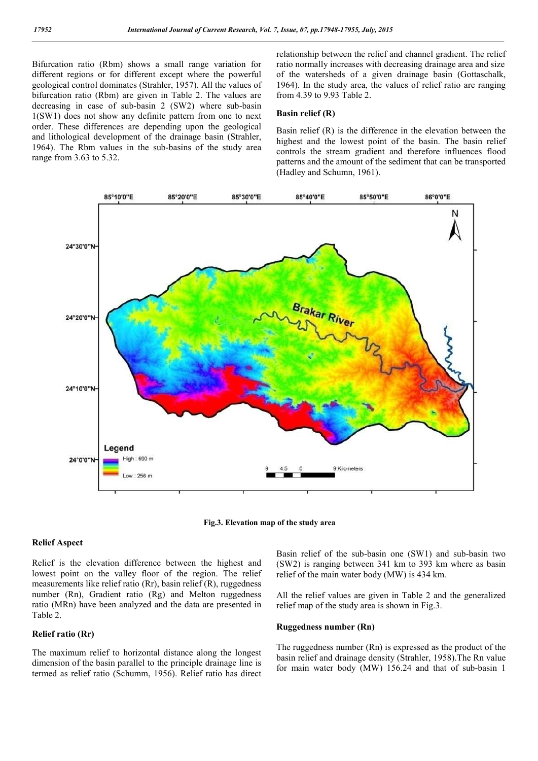Bifurcation ratio (Rbm) shows a small range variation for different regions or for different except where the powerful geological control dominates (Strahler, 1957). All the values of bifurcation ratio (Rbm) are given in Table 2. The values are decreasing in case of sub-basin 2 (SW2) where sub-basin 1(SW1) does not show any definite pattern from one to next order. These differences are depending upon the geological and lithological development of the drainage basin (Strahler, 1964). The Rbm values in the sub-basins of the study area range from 3.63 to 5.32.

relationship between the relief and channel gradient. The relief ratio normally increases with decreasing drainage area and size of the watersheds of a given drainage basin (Gottaschalk, 1964). In the study area, the values of relief ratio are ranging from 4.39 to 9.93 Table 2.

#### **Basin relief (R)**

Basin relief (R) is the difference in the elevation between the highest and the lowest point of the basin. The basin relief controls the stream gradient and therefore influences flood patterns and the amount of the sediment that can be transported (Hadley and Schumn, 1961).



**Fig.3. Elevation map of the study area**

#### **Relief Aspect**

Relief is the elevation difference between the highest and lowest point on the valley floor of the region. The relief measurements like relief ratio (Rr), basin relief (R), ruggedness number (Rn), Gradient ratio (Rg) and Melton ruggedness ratio (MRn) have been analyzed and the data are presented in Table 2.

## **Relief ratio (Rr)**

The maximum relief to horizontal distance along the longest dimension of the basin parallel to the principle drainage line is termed as relief ratio (Schumm, 1956). Relief ratio has direct Basin relief of the sub-basin one (SW1) and sub-basin two (SW2) is ranging between 341 km to 393 km where as basin relief of the main water body (MW) is 434 km.

All the relief values are given in Table 2 and the generalized relief map of the study area is shown in Fig.3.

## **Ruggedness number (Rn)**

The ruggedness number (Rn) is expressed as the product of the basin relief and drainage density (Strahler, 1958).The Rn value for main water body (MW) 156.24 and that of sub-basin 1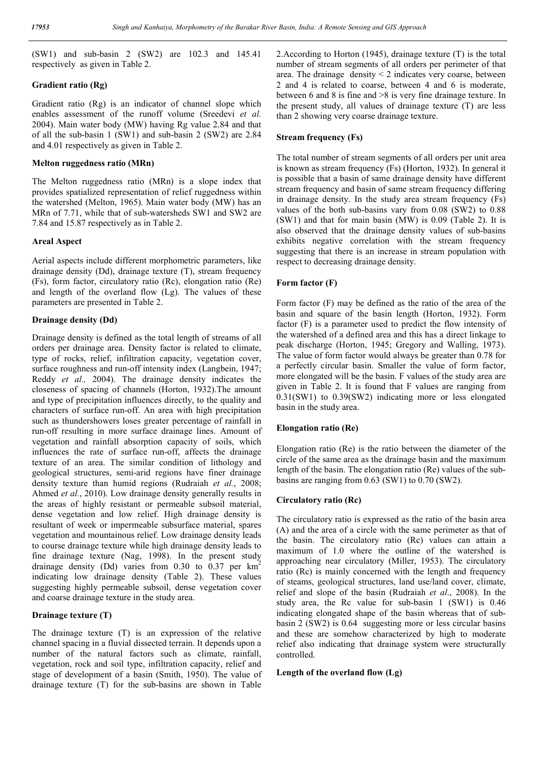(SW1) and sub-basin 2 (SW2) are 102.3 and 145.41 respectively as given in Table 2.

## **Gradient ratio (Rg)**

Gradient ratio (Rg) is an indicator of channel slope which enables assessment of the runoff volume (Sreedevi *et al.*  2004). Main water body (MW) having Rg value 2.84 and that of all the sub-basin 1 (SW1) and sub-basin 2 (SW2) are 2.84 and 4.01 respectively as given in Table 2.

#### **Melton ruggedness ratio (MRn)**

The Melton ruggedness ratio (MRn) is a slope index that provides spatialized representation of relief ruggedness within the watershed (Melton, 1965). Main water body (MW) has an MRn of 7.71, while that of sub-watersheds SW1 and SW2 are 7.84 and 15.87 respectively as in Table 2.

#### **Areal Aspect**

Aerial aspects include different morphometric parameters, like drainage density (Dd), drainage texture (T), stream frequency (Fs), form factor, circulatory ratio (Rc), elongation ratio (Re) and length of the overland flow (Lg). The values of these parameters are presented in Table 2.

## **Drainage density (Dd)**

Drainage density is defined as the total length of streams of all orders per drainage area. Density factor is related to climate, type of rocks, relief, infiltration capacity, vegetation cover, surface roughness and run-off intensity index (Langbein, 1947; Reddy *et al.,* 2004). The drainage density indicates the closeness of spacing of channels (Horton, 1932).The amount and type of precipitation influences directly, to the quality and characters of surface run-off. An area with high precipitation such as thundershowers loses greater percentage of rainfall in run-off resulting in more surface drainage lines. Amount of vegetation and rainfall absorption capacity of soils, which influences the rate of surface run-off, affects the drainage texture of an area. The similar condition of lithology and geological structures, semi-arid regions have finer drainage density texture than humid regions (Rudraiah *et al.*, 2008; Ahmed *et al.*, 2010). Low drainage density generally results in the areas of highly resistant or permeable subsoil material, dense vegetation and low relief. High drainage density is resultant of week or impermeable subsurface material, spares vegetation and mountainous relief. Low drainage density leads to course drainage texture while high drainage density leads to fine drainage texture (Nag, 1998). In the present study drainage density (Dd) varies from  $0.30$  to  $0.37$  per  $km^2$ indicating low drainage density (Table 2). These values suggesting highly permeable subsoil, dense vegetation cover and coarse drainage texture in the study area.

## **Drainage texture (T)**

The drainage texture (T) is an expression of the relative channel spacing in a fluvial dissected terrain. It depends upon a number of the natural factors such as climate, rainfall, vegetation, rock and soil type, infiltration capacity, relief and stage of development of a basin (Smith, 1950). The value of drainage texture (T) for the sub-basins are shown in Table

2.According to Horton (1945), drainage texture (T) is the total number of stream segments of all orders per perimeter of that area. The drainage density  $\leq 2$  indicates very coarse, between 2 and 4 is related to coarse, between 4 and 6 is moderate, between 6 and 8 is fine and  $>8$  is very fine drainage texture. In the present study, all values of drainage texture (T) are less than 2 showing very coarse drainage texture.

#### **Stream frequency (Fs)**

The total number of stream segments of all orders per unit area is known as stream frequency (Fs) (Horton, 1932). In general it is possible that a basin of same drainage density have different stream frequency and basin of same stream frequency differing in drainage density. In the study area stream frequency (Fs) values of the both sub-basins vary from 0.08 (SW2) to 0.88 (SW1) and that for main basin (MW) is 0.09 (Table 2). It is also observed that the drainage density values of sub-basins exhibits negative correlation with the stream frequency suggesting that there is an increase in stream population with respect to decreasing drainage density.

#### **Form factor (F)**

Form factor (F) may be defined as the ratio of the area of the basin and square of the basin length (Horton, 1932). Form factor (F) is a parameter used to predict the flow intensity of the watershed of a defined area and this has a direct linkage to peak discharge (Horton, 1945; Gregory and Walling, 1973). The value of form factor would always be greater than 0.78 for a perfectly circular basin. Smaller the value of form factor, more elongated will be the basin. F values of the study area are given in Table 2. It is found that F values are ranging from 0.31(SW1) to 0.39(SW2) indicating more or less elongated basin in the study area.

#### **Elongation ratio (Re)**

Elongation ratio (Re) is the ratio between the diameter of the circle of the same area as the drainage basin and the maximum length of the basin. The elongation ratio (Re) values of the subbasins are ranging from 0.63 (SW1) to 0.70 (SW2).

## **Circulatory ratio (Rc)**

The circulatory ratio is expressed as the ratio of the basin area (A) and the area of a circle with the same perimeter as that of the basin. The circulatory ratio (Rc) values can attain a maximum of 1.0 where the outline of the watershed is approaching near circulatory (Miller, 1953). The circulatory ratio (Rc) is mainly concerned with the length and frequency of steams, geological structures, land use/land cover, climate, relief and slope of the basin (Rudraiah *et al*., 2008). In the study area, the Rc value for sub-basin 1 (SW1) is 0.46 indicating elongated shape of the basin whereas that of subbasin 2 (SW2) is 0.64 suggesting more or less circular basins and these are somehow characterized by high to moderate relief also indicating that drainage system were structurally controlled.

#### **Length of the overland flow (Lg)**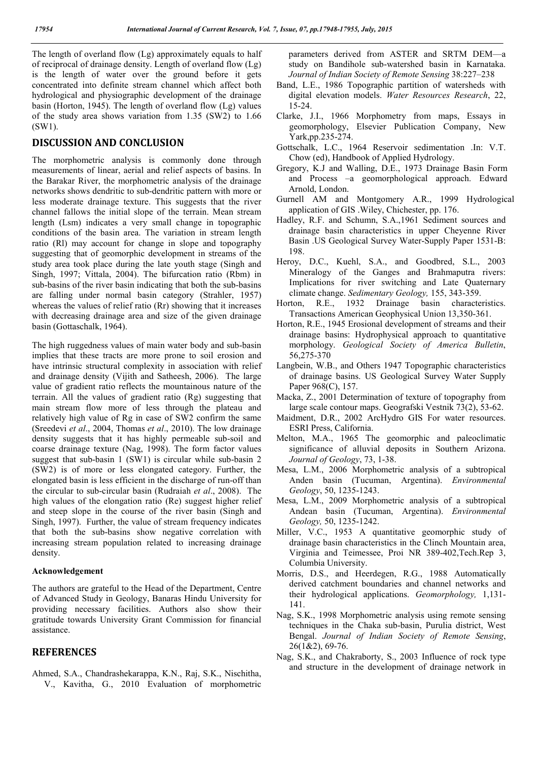The length of overland flow (Lg) approximately equals to half of reciprocal of drainage density. Length of overland flow (Lg) is the length of water over the ground before it gets concentrated into definite stream channel which affect both hydrological and physiographic development of the drainage basin (Horton, 1945). The length of overland flow (Lg) values of the study area shows variation from 1.35 (SW2) to 1.66 (SW1).

# **DISCUSSION AND CONCLUSION**

The morphometric analysis is commonly done through measurements of linear, aerial and relief aspects of basins. In the Barakar River, the morphometric analysis of the drainage networks shows dendritic to sub-dendritic pattern with more or less moderate drainage texture. This suggests that the river channel fallows the initial slope of the terrain. Mean stream length (Lsm) indicates a very small change in topographic conditions of the basin area. The variation in stream length ratio (Rl) may account for change in slope and topography suggesting that of geomorphic development in streams of the study area took place during the late youth stage (Singh and Singh, 1997; Vittala, 2004). The bifurcation ratio (Rbm) in sub-basins of the river basin indicating that both the sub-basins are falling under normal basin category (Strahler, 1957) whereas the values of relief ratio (Rr) showing that it increases with decreasing drainage area and size of the given drainage basin (Gottaschalk, 1964).

The high ruggedness values of main water body and sub-basin implies that these tracts are more prone to soil erosion and have intrinsic structural complexity in association with relief and drainage density (Vijith and Satheesh, 2006). The large value of gradient ratio reflects the mountainous nature of the terrain. All the values of gradient ratio (Rg) suggesting that main stream flow more of less through the plateau and relatively high value of Rg in case of SW2 confirm the same (Sreedevi *et al*., 2004, Thomas *et al*., 2010). The low drainage density suggests that it has highly permeable sub-soil and coarse drainage texture (Nag, 1998). The form factor values suggest that sub-basin 1 (SW1) is circular while sub-basin 2 (SW2) is of more or less elongated category. Further, the elongated basin is less efficient in the discharge of run-off than the circular to sub-circular basin (Rudraiah *et al*., 2008). The high values of the elongation ratio (Re) suggest higher relief and steep slope in the course of the river basin (Singh and Singh, 1997). Further, the value of stream frequency indicates that both the sub-basins show negative correlation with increasing stream population related to increasing drainage density.

#### **Acknowledgement**

The authors are grateful to the Head of the Department, Centre of Advanced Study in Geology, Banaras Hindu University for providing necessary facilities. Authors also show their gratitude towards University Grant Commission for financial assistance.

## **REFERENCES**

Ahmed, S.A., Chandrashekarappa, K.N., Raj, S.K., Nischitha, V., Kavitha, G., 2010 Evaluation of morphometric

parameters derived from ASTER and SRTM DEM—a study on Bandihole sub-watershed basin in Karnataka. *Journal of Indian Society of Remote Sensing* 38:227–238

- Band, L.E., 1986 Topographic partition of watersheds with digital elevation models. *Water Resources Research*, 22, 15-24.
- Clarke, J.I., 1966 Morphometry from maps, Essays in geomorphology, Elsevier Publication Company, New Yark,pp.235-274.
- Gottschalk, L.C., 1964 Reservoir sedimentation .In: V.T. Chow (ed), Handbook of Applied Hydrology.
- Gregory, K.J and Walling, D.E., 1973 Drainage Basin Form and Process –a geomorphological approach. Edward Arnold, London.
- Gurnell AM and Montgomery A.R., 1999 Hydrological application of GIS .Wiley, Chichester, pp. 176.
- Hadley, R.F. and Schumn, S.A.,1961 Sediment sources and drainage basin characteristics in upper Cheyenne River Basin .US Geological Survey Water-Supply Paper 1531-B: 198.
- Heroy, D.C., Kuehl, S.A., and Goodbred, S.L., 2003 Mineralogy of the Ganges and Brahmaputra rivers: Implications for river switching and Late Quaternary climate change. *Sedimentary Geology,* 155, 343-359.
- Horton, R.E., 1932 Drainage basin characteristics. Transactions American Geophysical Union 13,350-361.
- Horton, R.E., 1945 Erosional development of streams and their drainage basins: Hydrophysical approach to quantitative morphology. *Geological Society of America Bulletin*, 56,275-370
- Langbein, W.B., and Others 1947 Topographic characteristics of drainage basins. US Geological Survey Water Supply Paper 968(C), 157.
- Macka, Z., 2001 Determination of texture of topography from large scale contour maps. Geografski Vestnik 73(2), 53-62.
- Maidment, D.R., 2002 ArcHydro GIS For water resources. ESRI Press, California.
- Melton, M.A., 1965 The geomorphic and paleoclimatic significance of alluvial deposits in Southern Arizona. *Journal of Geology*, 73, 1-38.
- Mesa, L.M., 2006 Morphometric analysis of a subtropical Anden basin (Tucuman, Argentina). *Environmental Geology*, 50, 1235-1243.
- Mesa, L.M., 2009 Morphometric analysis of a subtropical Andean basin (Tucuman, Argentina). *Environmental Geology,* 50, 1235-1242.
- Miller, V.C., 1953 A quantitative geomorphic study of drainage basin characteristics in the Clinch Mountain area, Virginia and Teimessee, Proi NR 389-402,Tech.Rep 3, Columbia University.
- Morris, D.S., and Heerdegen, R.G., 1988 Automatically derived catchment boundaries and channel networks and their hydrological applications. *Geomorphology,* 1,131- 141.
- Nag, S.K., 1998 Morphometric analysis using remote sensing techniques in the Chaka sub-basin, Purulia district, West Bengal. *Journal of Indian Society of Remote Sensing*, 26(1&2), 69-76.
- Nag, S.K., and Chakraborty, S., 2003 Influence of rock type and structure in the development of drainage network in